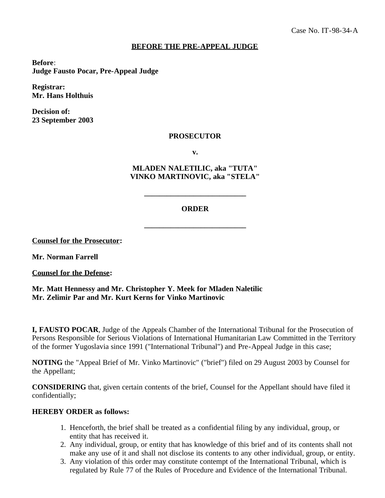## **BEFORE THE PRE-APPEAL JUDGE**

**Before**: **Judge Fausto Pocar, Pre-Appeal Judge**

**Registrar: Mr. Hans Holthuis**

**Decision of: 23 September 2003**

## **PROSECUTOR**

**v.**

**MLADEN NALETILIC, aka "TUTA" VINKO MARTINOVIC, aka "STELA"**

## **ORDER**

**\_\_\_\_\_\_\_\_\_\_\_\_\_\_\_\_\_\_\_\_\_\_\_\_\_\_\_**

**\_\_\_\_\_\_\_\_\_\_\_\_\_\_\_\_\_\_\_\_\_\_\_\_\_\_\_**

**Counsel for the Prosecutor:**

**Mr. Norman Farrell**

**Counsel for the Defense:**

**Mr. Matt Hennessy and Mr. Christopher Y. Meek for Mladen Naletilic Mr. Zelimir Par and Mr. Kurt Kerns for Vinko Martinovic**

**I, FAUSTO POCAR**, Judge of the Appeals Chamber of the International Tribunal for the Prosecution of Persons Responsible for Serious Violations of International Humanitarian Law Committed in the Territory of the former Yugoslavia since 1991 ("International Tribunal") and Pre-Appeal Judge in this case;

**NOTING** the "Appeal Brief of Mr. Vinko Martinovic" ("brief") filed on 29 August 2003 by Counsel for the Appellant;

**CONSIDERING** that, given certain contents of the brief, Counsel for the Appellant should have filed it confidentially;

## **HEREBY ORDER as follows:**

- 1. Henceforth, the brief shall be treated as a confidential filing by any individual, group, or entity that has received it.
- 2. Any individual, group, or entity that has knowledge of this brief and of its contents shall not make any use of it and shall not disclose its contents to any other individual, group, or entity.
- 3. Any violation of this order may constitute contempt of the International Tribunal, which is regulated by Rule 77 of the Rules of Procedure and Evidence of the International Tribunal.